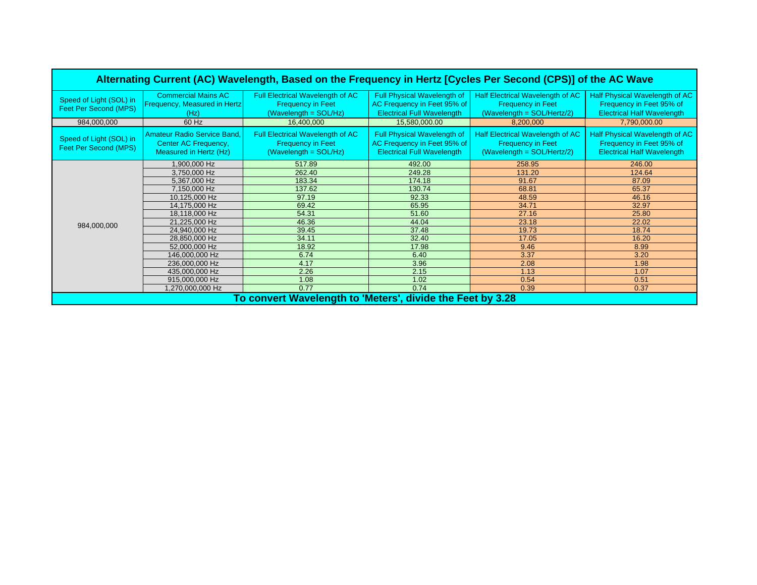| Alternating Current (AC) Wavelength, Based on the Frequency in Hertz [Cycles Per Second (CPS)] of the AC Wave |                                                                                      |                                                                                                |                                                                                                        |                                                                                              |                                                                                                 |  |  |  |
|---------------------------------------------------------------------------------------------------------------|--------------------------------------------------------------------------------------|------------------------------------------------------------------------------------------------|--------------------------------------------------------------------------------------------------------|----------------------------------------------------------------------------------------------|-------------------------------------------------------------------------------------------------|--|--|--|
| Speed of Light (SOL) in<br>Feet Per Second (MPS)                                                              | <b>Commercial Mains AC</b><br>Frequency, Measured in Hertz<br>(Hz)                   | Full Electrical Wavelength of AC<br><b>Frequency in Feet</b><br>$(Wavelength = SOL/Hz)$        | <b>Full Physical Wavelength of</b><br>AC Frequency in Feet 95% of<br><b>Electrical Full Wavelength</b> | Half Electrical Wavelength of AC<br><b>Frequency in Feet</b><br>$(Wavelength = SOL/Hertz/2)$ | Half Physical Wavelength of AC<br>Frequency in Feet 95% of<br><b>Electrical Half Wavelength</b> |  |  |  |
| 984,000,000                                                                                                   | 60 Hz                                                                                | 16,400,000                                                                                     | 15,580,000.00                                                                                          | 8,200,000                                                                                    | 7,790,000.00                                                                                    |  |  |  |
| Speed of Light (SOL) in<br>Feet Per Second (MPS)                                                              | <b>Amateur Radio Service Band.</b><br>Center AC Frequency,<br>Measured in Hertz (Hz) | <b>Full Electrical Wavelength of AC</b><br><b>Frequency in Feet</b><br>$(Wavelength = SOL/Hz)$ | <b>Full Physical Wavelength of</b><br>AC Frequency in Feet 95% of<br><b>Electrical Full Wavelength</b> | Half Electrical Wavelength of AC<br><b>Frequency in Feet</b><br>$(Wavelength = SOL/Hertz/2)$ | Half Physical Wavelength of AC<br>Frequency in Feet 95% of<br><b>Electrical Half Wavelength</b> |  |  |  |
| 984,000,000                                                                                                   | 1,900,000 Hz                                                                         | 517.89                                                                                         | 492.00                                                                                                 | 258.95                                                                                       | 246.00                                                                                          |  |  |  |
|                                                                                                               | 3.750.000 Hz                                                                         | 262.40                                                                                         | 249.28                                                                                                 | 131.20                                                                                       | 124.64                                                                                          |  |  |  |
|                                                                                                               | 5,367,000 Hz                                                                         | 183.34                                                                                         | 174.18                                                                                                 | 91.67                                                                                        | 87.09                                                                                           |  |  |  |
|                                                                                                               | 7,150,000 Hz                                                                         | 137.62                                                                                         | 130.74                                                                                                 | 68.81                                                                                        | 65.37                                                                                           |  |  |  |
|                                                                                                               | 10,125,000 Hz                                                                        | 97.19                                                                                          | 92.33                                                                                                  | 48.59                                                                                        | 46.16                                                                                           |  |  |  |
|                                                                                                               | 14,175,000 Hz                                                                        | 69.42                                                                                          | 65.95                                                                                                  | 34.71                                                                                        | 32.97                                                                                           |  |  |  |
|                                                                                                               | 18,118,000 Hz                                                                        | 54.31                                                                                          | 51.60                                                                                                  | 27.16                                                                                        | 25.80                                                                                           |  |  |  |
|                                                                                                               | 21,225,000 Hz                                                                        | 46.36                                                                                          | 44.04                                                                                                  | 23.18                                                                                        | 22.02                                                                                           |  |  |  |
|                                                                                                               | 24,940,000 Hz                                                                        | 39.45                                                                                          | 37.48                                                                                                  | 19.73                                                                                        | 18.74                                                                                           |  |  |  |
|                                                                                                               | 28,850,000 Hz                                                                        | 34.11                                                                                          | 32.40                                                                                                  | 17.05                                                                                        | 16.20                                                                                           |  |  |  |
|                                                                                                               | 52,000,000 Hz                                                                        | 18.92                                                                                          | 17.98                                                                                                  | 9.46                                                                                         | 8.99                                                                                            |  |  |  |
|                                                                                                               | 146,000,000 Hz                                                                       | 6.74                                                                                           | 6.40                                                                                                   | 3.37                                                                                         | 3.20                                                                                            |  |  |  |
|                                                                                                               | 236,000,000 Hz                                                                       | 4.17                                                                                           | 3.96                                                                                                   | 2.08                                                                                         | 1.98                                                                                            |  |  |  |
|                                                                                                               | 435,000,000 Hz                                                                       | 2.26                                                                                           | 2.15                                                                                                   | 1.13                                                                                         | 1.07                                                                                            |  |  |  |
|                                                                                                               | 915,000,000 Hz                                                                       | 1.08                                                                                           | 1.02                                                                                                   | 0.54                                                                                         | 0.51                                                                                            |  |  |  |
|                                                                                                               | 1,270,000,000 Hz                                                                     | 0.77                                                                                           | 0.74                                                                                                   | 0.39                                                                                         | 0.37                                                                                            |  |  |  |
| To convert Wavelength to 'Meters', divide the Feet by 3.28                                                    |                                                                                      |                                                                                                |                                                                                                        |                                                                                              |                                                                                                 |  |  |  |